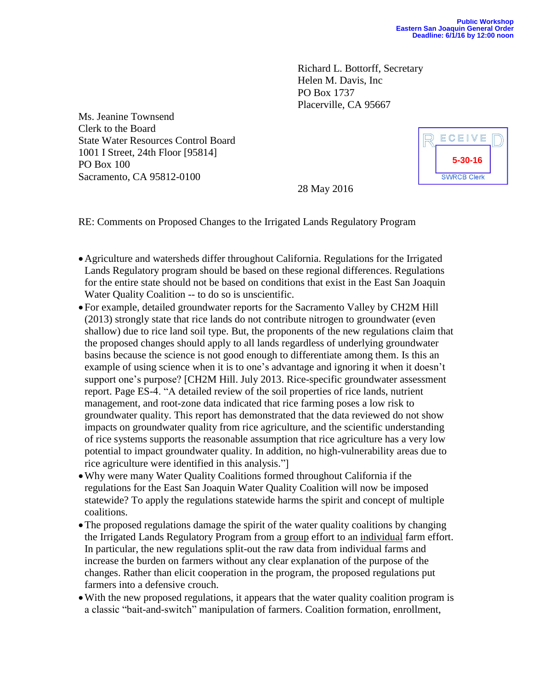Richard L. Bottorff, Secretary Helen M. Davis, Inc PO Box 1737 Placerville, CA 95667

Ms. Jeanine Townsend Clerk to the Board State Water Resources Control Board 1001 I Street, 24th Floor [95814] PO Box 100 Sacramento, CA 95812-0100



28 May 2016

RE: Comments on Proposed Changes to the Irrigated Lands Regulatory Program

- Agriculture and watersheds differ throughout California. Regulations for the Irrigated Lands Regulatory program should be based on these regional differences. Regulations for the entire state should not be based on conditions that exist in the East San Joaquin Water Quality Coalition -- to do so is unscientific.
- For example, detailed groundwater reports for the Sacramento Valley by CH2M Hill (2013) strongly state that rice lands do not contribute nitrogen to groundwater (even shallow) due to rice land soil type. But, the proponents of the new regulations claim that the proposed changes should apply to all lands regardless of underlying groundwater basins because the science is not good enough to differentiate among them. Is this an example of using science when it is to one's advantage and ignoring it when it doesn't support one's purpose? [CH2M Hill. July 2013. Rice-specific groundwater assessment report. Page ES-4. "A detailed review of the soil properties of rice lands, nutrient management, and root-zone data indicated that rice farming poses a low risk to groundwater quality. This report has demonstrated that the data reviewed do not show impacts on groundwater quality from rice agriculture, and the scientific understanding of rice systems supports the reasonable assumption that rice agriculture has a very low potential to impact groundwater quality. In addition, no high-vulnerability areas due to rice agriculture were identified in this analysis."]
- Why were many Water Quality Coalitions formed throughout California if the regulations for the East San Joaquin Water Quality Coalition will now be imposed statewide? To apply the regulations statewide harms the spirit and concept of multiple coalitions.
- The proposed regulations damage the spirit of the water quality coalitions by changing the Irrigated Lands Regulatory Program from a group effort to an individual farm effort. In particular, the new regulations split-out the raw data from individual farms and increase the burden on farmers without any clear explanation of the purpose of the changes. Rather than elicit cooperation in the program, the proposed regulations put farmers into a defensive crouch.
- With the new proposed regulations, it appears that the water quality coalition program is a classic "bait-and-switch" manipulation of farmers. Coalition formation, enrollment,